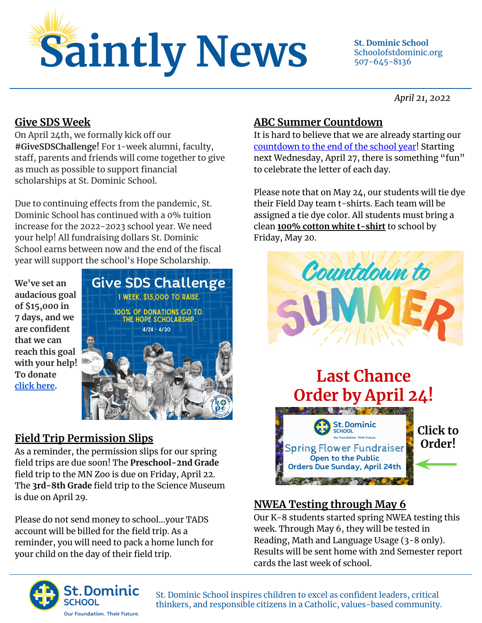

Schoolofstdominic.org 507-645-8136

*April 21, 2022*

### **Give SDS Week**

On April 24th, we formally kick off our **#GiveSDSChallenge!** For 1-week alumni, faculty, staff, parents and friends will come together to give as much as possible to support financial scholarships at St. Dominic School.

Due to continuing effects from the pandemic, St. Dominic School has continued with a 0% tuition increase for the 2022-2023 school year. We need your help! All fundraising dollars St. Dominic School earns between now and the end of the fiscal year will support the school's Hope Scholarship.

**We've set an audacious goal of \$15,000 in 7 days, and we are confident that we can reach this goal with your help! To donate [click here](https://www.paypal.com/donate/?cmd=_s-xclick&hosted_button_id=Y36Q97JQDXHTN).**



# **Field Trip Permission Slips**

As a reminder, the permission slips for our spring field trips are due soon! The **Preschool-2nd Grade**  field trip to the MN Zoo is due on Friday, April 22. The **3rd-8th Grade** field trip to the Science Museum is due on April 29.

Please do not send money to school…your TADS account will be billed for the field trip. As a reminder, you will need to pack a home lunch for your child on the day of their field trip.

# **ABC Summer Countdown**

It is hard to believe that we are already starting our [countdown to the end of the school year!](https://schoolofstdominic.org/documents/abc-countdown-2022/) Starting next Wednesday, April 27, there is something "fun" to celebrate the letter of each day.

Please note that on May 24, our students will tie dye their Field Day team t-shirts. Each team will be assigned a tie dye color. All students must bring a clean **100% cotton white t-shirt** to school by Friday, May 20.



# **Last Chance Order by April 24! ANTICOLOGICAL PROPERTY**



# **NWEA Testing through May 6**

Our K-8 students started spring NWEA testing this week. Through May 6, they will be tested in Reading, Math and Language Usage (3-8 only). Results will be sent home with 2nd Semester report cards the last week of school.



St. Dominic School inspires children to excel as confident leaders, critical thinkers, and responsible citizens in a Catholic, values-based community.